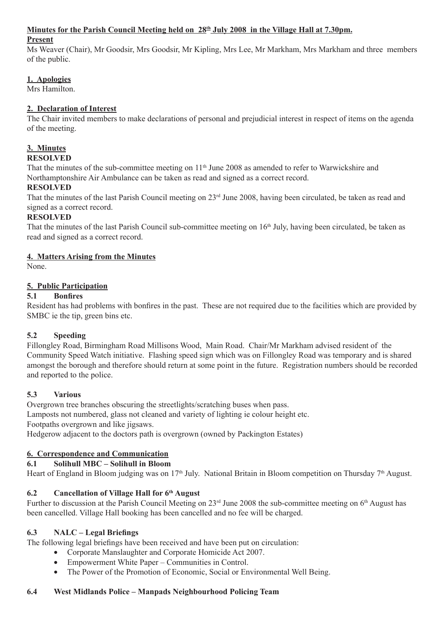#### **Minutes for the Parish Council Meeting held on 28th July 2008 in the Village Hall at 7.30pm.**

#### **Present**

Ms Weaver (Chair), Mr Goodsir, Mrs Goodsir, Mr Kipling, Mrs Lee, Mr Markham, Mrs Markham and three members of the public.

## **1. Apologies**

Mrs Hamilton.

## **2. Declaration of Interest**

The Chair invited members to make declarations of personal and prejudicial interest in respect of items on the agenda of the meeting.

## **3. Minutes**

### **RESOLVED**

That the minutes of the sub-committee meeting on 11<sup>th</sup> June 2008 as amended to refer to Warwickshire and Northamptonshire Air Ambulance can be taken as read and signed as a correct record.

## **RESOLVED**

That the minutes of the last Parish Council meeting on 23rd June 2008, having been circulated, be taken as read and signed as a correct record.

## **RESOLVED**

That the minutes of the last Parish Council sub-committee meeting on 16<sup>th</sup> July, having been circulated, be taken as read and signed as a correct record.

## **4. Matters Arising from the Minutes**

None.

## **5. Public Participation**

## **5.1 Bonfires**

Resident has had problems with bonfires in the past. These are not required due to the facilities which are provided by SMBC ie the tip, green bins etc.

## **5.2 Speeding**

Fillongley Road, Birmingham Road Millisons Wood, Main Road. Chair/Mr Markham advised resident of the Community Speed Watch initiative. Flashing speed sign which was on Fillongley Road was temporary and is shared amongst the borough and therefore should return at some point in the future. Registration numbers should be recorded and reported to the police.

## **5.3 Various**

Overgrown tree branches obscuring the streetlights/scratching buses when pass. Lamposts not numbered, glass not cleaned and variety of lighting ie colour height etc. Footpaths overgrown and like jigsaws.

Hedgerow adjacent to the doctors path is overgrown (owned by Packington Estates)

## **6. Correspondence and Communication**

### **6.1 Solihull MBC – Solihull in Bloom**

Heart of England in Bloom judging was on 17<sup>th</sup> July. National Britain in Bloom competition on Thursday 7<sup>th</sup> August.

## **6.2 Cancellation of Village Hall for 6th August**

Further to discussion at the Parish Council Meeting on 23<sup>rd</sup> June 2008 the sub-committee meeting on 6<sup>th</sup> August has been cancelled. Village Hall booking has been cancelled and no fee will be charged.

### **6.3 NALC – Legal Briefings**

The following legal briefings have been received and have been put on circulation:

- Corporate Manslaughter and Corporate Homicide Act 2007.
- Empowerment White Paper Communities in Control.
- The Power of the Promotion of Economic, Social or Environmental Well Being.

### **6.4 West Midlands Police – Manpads Neighbourhood Policing Team**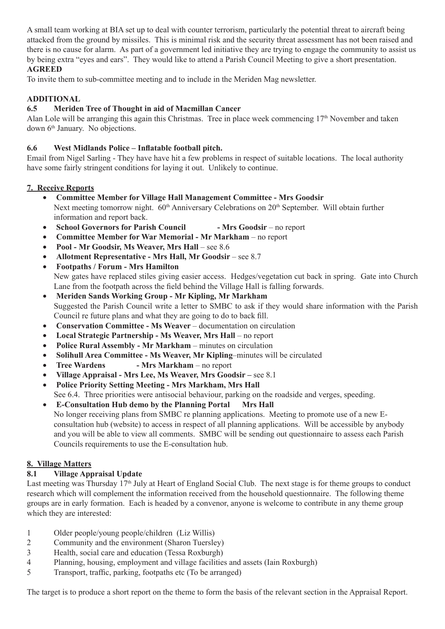A small team working at BIA set up to deal with counter terrorism, particularly the potential threat to aircraft being attacked from the ground by missiles. This is minimal risk and the security threat assessment has not been raised and there is no cause for alarm. As part of a government led initiative they are trying to engage the community to assist us by being extra "eyes and ears". They would like to attend a Parish Council Meeting to give a short presentation.

### **AGREED**

To invite them to sub-committee meeting and to include in the Meriden Mag newsletter.

## **ADDITIONAL**

## **6.5 Meriden Tree of Thought in aid of Macmillan Cancer**

Alan Lole will be arranging this again this Christmas. Tree in place week commencing  $17<sup>th</sup>$  November and taken down 6th January. No objections.

## **6.6 West Midlands Police – Inflatable football pitch.**

Email from Nigel Sarling - They have have hit a few problems in respect of suitable locations. The local authority have some fairly stringent conditions for laying it out. Unlikely to continue.

## **7. Receive Reports**

- **Committee Member for Village Hall Management Committee Mrs Goodsir** Next meeting tomorrow night.  $60<sup>th</sup>$  Anniversary Celebrations on  $20<sup>th</sup>$  September. Will obtain further information and report back.
- **School Governors for Parish Council** Mrs Goodsir no report
- **Committee Member for War Memorial Mr Markham**  no report
- **Pool Mr Goodsir, Ms Weaver, Mrs Hall**  see 8.6
- Allotment Representative Mrs Hall, Mr Goodsir see 8.7
- **Footpaths / Forum Mrs Hamilton**  New gates have replaced stiles giving easier access. Hedges/vegetation cut back in spring. Gate into Church Lane from the footpath across the field behind the Village Hall is falling forwards.
- **Meriden Sands Working Group Mr Kipling, Mr Markham** Suggested the Parish Council write a letter to SMBC to ask if they would share information with the Parish Council re future plans and what they are going to do to back fill.
- **Conservation Committee Ms Weaver** documentation on circulation
- Local Strategic Partnership Ms Weaver, Mrs Hall no report
- **Police Rural Assembly Mr Markham** minutes on circulation
- **Solihull Area Committee Ms Weaver, Mr Kipling**–minutes will be circulated
- **Tree Wardens** Mrs Markham no report
- **Village Appraisal Mrs Lee, Ms Weaver, Mrs Goodsir** see 8.1
- **Police Priority Setting Meeting Mrs Markham, Mrs Hall**  See 6.4. Three priorities were antisocial behaviour, parking on the roadside and verges, speeding.
- **E-Consultation Hub demo by the Planning Portal Mrs Hall** No longer receiving plans from SMBC re planning applications. Meeting to promote use of a new Econsultation hub (website) to access in respect of all planning applications. Will be accessible by anybody and you will be able to view all comments. SMBC will be sending out questionnaire to assess each Parish Councils requirements to use the E-consultation hub.

## **8. Village Matters**

### **8.1 Village Appraisal Update**

Last meeting was Thursday  $17<sup>th</sup>$  July at Heart of England Social Club. The next stage is for theme groups to conduct research which will complement the information received from the household questionnaire. The following theme groups are in early formation. Each is headed by a convenor, anyone is welcome to contribute in any theme group which they are interested:

- 1 Older people/young people/children (Liz Willis)
- 2 Community and the environment (Sharon Tuersley)
- 3 Health, social care and education (Tessa Roxburgh)
- 4 Planning, housing, employment and village facilities and assets (Iain Roxburgh)
- 5 Transport, traffic, parking, footpaths etc (To be arranged)

The target is to produce a short report on the theme to form the basis of the relevant section in the Appraisal Report.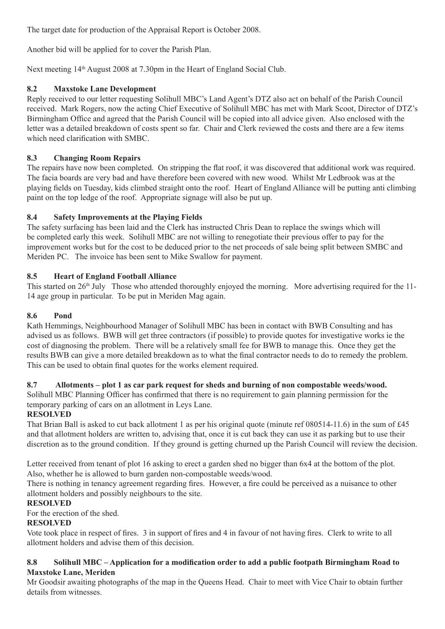The target date for production of the Appraisal Report is October 2008.

Another bid will be applied for to cover the Parish Plan.

Next meeting 14<sup>th</sup> August 2008 at 7.30pm in the Heart of England Social Club.

## **8.2 Maxstoke Lane Development**

Reply received to our letter requesting Solihull MBC's Land Agent's DTZ also act on behalf of the Parish Council received. Mark Rogers, now the acting Chief Executive of Solihull MBC has met with Mark Scoot, Director of DTZ's Birmingham Office and agreed that the Parish Council will be copied into all advice given. Also enclosed with the letter was a detailed breakdown of costs spent so far. Chair and Clerk reviewed the costs and there are a few items which need clarification with SMBC.

## **8.3 Changing Room Repairs**

The repairs have now been completed. On stripping the flat roof, it was discovered that additional work was required. The facia boards are very bad and have therefore been covered with new wood. Whilst Mr Ledbrook was at the playing fields on Tuesday, kids climbed straight onto the roof. Heart of England Alliance will be putting anti climbing paint on the top ledge of the roof. Appropriate signage will also be put up.

## **8.4 Safety Improvements at the Playing Fields**

The safety surfacing has been laid and the Clerk has instructed Chris Dean to replace the swings which will be completed early this week. Solihull MBC are not willing to renegotiate their previous offer to pay for the improvement works but for the cost to be deduced prior to the net proceeds of sale being split between SMBC and Meriden PC. The invoice has been sent to Mike Swallow for payment.

## **8.5 Heart of England Football Alliance**

This started on 26<sup>th</sup> July Those who attended thoroughly enjoyed the morning. More advertising required for the 11-14 age group in particular. To be put in Meriden Mag again.

### **8.6 Pond**

Kath Hemmings, Neighbourhood Manager of Solihull MBC has been in contact with BWB Consulting and has advised us as follows. BWB will get three contractors (if possible) to provide quotes for investigative works ie the cost of diagnosing the problem. There will be a relatively small fee for BWB to manage this. Once they get the results BWB can give a more detailed breakdown as to what the final contractor needs to do to remedy the problem. This can be used to obtain final quotes for the works element required.

# **8.7 Allotments – plot 1 as car park request for sheds and burning of non compostable weeds/wood.**

Solihull MBC Planning Officer has confirmed that there is no requirement to gain planning permission for the temporary parking of cars on an allotment in Leys Lane.

## **RESOLVED**

That Brian Ball is asked to cut back allotment 1 as per his original quote (minute ref 080514-11.6) in the sum of £45 and that allotment holders are written to, advising that, once it is cut back they can use it as parking but to use their discretion as to the ground condition. If they ground is getting churned up the Parish Council will review the decision.

Letter received from tenant of plot 16 asking to erect a garden shed no bigger than 6x4 at the bottom of the plot. Also, whether he is allowed to burn garden non-compostable weeds/wood.

There is nothing in tenancy agreement regarding fires. However, a fire could be perceived as a nuisance to other allotment holders and possibly neighbours to the site.

### **RESOLVED**

For the erection of the shed.

### **RESOLVED**

Vote took place in respect of fires. 3 in support of fires and 4 in favour of not having fires. Clerk to write to all allotment holders and advise them of this decision.

### **8.8 Solihull MBC – Application for a modification order to add a public footpath Birmingham Road to Maxstoke Lane, Meriden**

Mr Goodsir awaiting photographs of the map in the Queens Head. Chair to meet with Vice Chair to obtain further details from witnesses.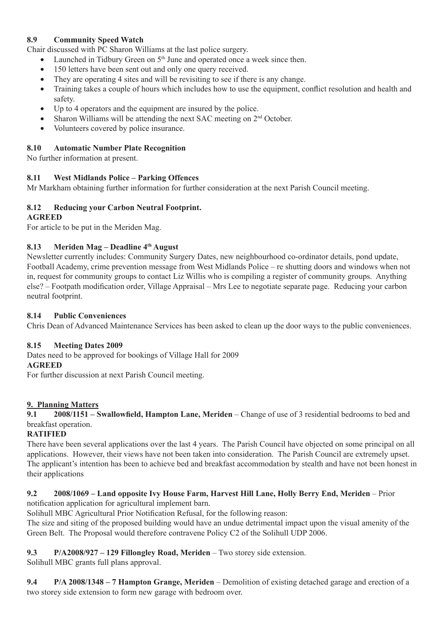## **8.9 Community Speed Watch**

Chair discussed with PC Sharon Williams at the last police surgery.

- Launched in Tidbury Green on 5<sup>th</sup> June and operated once a week since then.
- 150 letters have been sent out and only one query received.
- They are operating 4 sites and will be revisiting to see if there is any change.
- Training takes a couple of hours which includes how to use the equipment, conflict resolution and health and safety.
- Up to 4 operators and the equipment are insured by the police.
- Sharon Williams will be attending the next SAC meeting on 2<sup>nd</sup> October.
- Volunteers covered by police insurance.

## **8.10 Automatic Number Plate Recognition**

No further information at present.

## **8.11 West Midlands Police – Parking Offences**

Mr Markham obtaining further information for further consideration at the next Parish Council meeting.

## **8.12 Reducing your Carbon Neutral Footprint.**

### **AGREED**

For article to be put in the Meriden Mag.

## **8.13 Meriden Mag – Deadline 4th August**

Newsletter currently includes: Community Surgery Dates, new neighbourhood co-ordinator details, pond update, Football Academy, crime prevention message from West Midlands Police – re shutting doors and windows when not in, request for community groups to contact Liz Willis who is compiling a register of community groups. Anything else? – Footpath modification order, Village Appraisal – Mrs Lee to negotiate separate page. Reducing your carbon neutral footprint.

### **8.14 Public Conveniences**

Chris Dean of Advanced Maintenance Services has been asked to clean up the door ways to the public conveniences.

### **8.15 Meeting Dates 2009**

Dates need to be approved for bookings of Village Hall for 2009 **AGREED**

For further discussion at next Parish Council meeting.

### **9. Planning Matters**

**9.1 2008/1151 – Swallowfield, Hampton Lane, Meriden** – Change of use of 3 residential bedrooms to bed and breakfast operation.

## **RATIFIED**

There have been several applications over the last 4 years. The Parish Council have objected on some principal on all applications. However, their views have not been taken into consideration. The Parish Council are extremely upset. The applicant's intention has been to achieve bed and breakfast accommodation by stealth and have not been honest in their applications

## **9.2 2008/1069 – Land opposite Ivy House Farm, Harvest Hill Lane, Holly Berry End, Meriden** – Prior

notification application for agricultural implement barn.

Solihull MBC Agricultural Prior Notification Refusal, for the following reason:

The size and siting of the proposed building would have an undue detrimental impact upon the visual amenity of the Green Belt. The Proposal would therefore contravene Policy C2 of the Solihull UDP 2006.

### **9.3 P/A2008/927 – 129 Fillongley Road, Meriden** – Two storey side extension.

Solihull MBC grants full plans approval.

**9.4 P/A 2008/1348 – 7 Hampton Grange, Meriden** – Demolition of existing detached garage and erection of a two storey side extension to form new garage with bedroom over.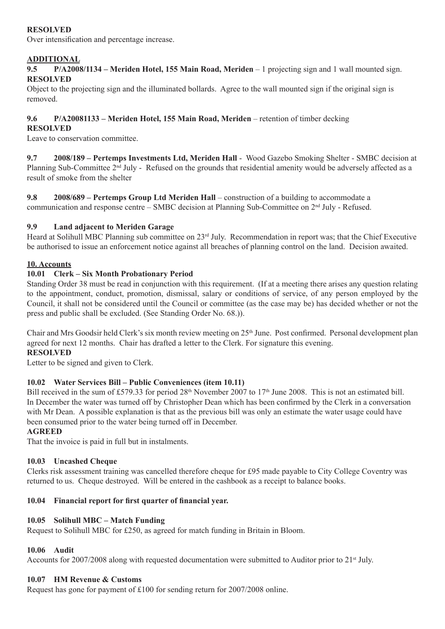## **RESOLVED**

Over intensification and percentage increase.

## **ADDITIONAL**

**9.5 P/A2008/1134 – Meriden Hotel, 155 Main Road, Meriden** – 1 projecting sign and 1 wall mounted sign. **RESOLVED**

Object to the projecting sign and the illuminated bollards. Agree to the wall mounted sign if the original sign is removed.

# **9.6 P/A20081133 – Meriden Hotel, 155 Main Road, Meriden** – retention of timber decking

### **RESOLVED**

Leave to conservation committee.

**9.7 2008/189 – Pertemps Investments Ltd, Meriden Hall** - Wood Gazebo Smoking Shelter - SMBC decision at Planning Sub-Committee 2<sup>nd</sup> July - Refused on the grounds that residential amenity would be adversely affected as a result of smoke from the shelter

**9.8 2008/689 – Pertemps Group Ltd Meriden Hall** – construction of a building to accommodate a communication and response centre – SMBC decision at Planning Sub-Committee on  $2<sup>nd</sup>$  July - Refused.

### **9.9 Land adjacent to Meriden Garage**

Heard at Solihull MBC Planning sub committee on 23rd July. Recommendation in report was; that the Chief Executive be authorised to issue an enforcement notice against all breaches of planning control on the land. Decision awaited.

### **10. Accounts**

### **10.01 Clerk – Six Month Probationary Period**

Standing Order 38 must be read in conjunction with this requirement. (If at a meeting there arises any question relating to the appointment, conduct, promotion, dismissal, salary or conditions of service, of any person employed by the Council, it shall not be considered until the Council or committee (as the case may be) has decided whether or not the press and public shall be excluded. (See Standing Order No. 68.)).

Chair and Mrs Goodsir held Clerk's six month review meeting on 25<sup>th</sup> June. Post confirmed. Personal development plan agreed for next 12 months. Chair has drafted a letter to the Clerk. For signature this evening. **RESOLVED**

## Letter to be signed and given to Clerk.

### **10.02 Water Services Bill – Public Conveniences (item 10.11)**

Bill received in the sum of £579.33 for period 28<sup>th</sup> November 2007 to 17<sup>th</sup> June 2008. This is not an estimated bill. In December the water was turned off by Christopher Dean which has been confirmed by the Clerk in a conversation with Mr Dean. A possible explanation is that as the previous bill was only an estimate the water usage could have been consumed prior to the water being turned off in December.

### **AGREED**

That the invoice is paid in full but in instalments.

### **10.03 Uncashed Cheque**

Clerks risk assessment training was cancelled therefore cheque for £95 made payable to City College Coventry was returned to us. Cheque destroyed. Will be entered in the cashbook as a receipt to balance books.

### **10.04 Financial report for first quarter of financial year.**

### **10.05 Solihull MBC – Match Funding**

Request to Solihull MBC for £250, as agreed for match funding in Britain in Bloom.

## **10.06 Audit**

Accounts for 2007/2008 along with requested documentation were submitted to Auditor prior to 21<sup>st</sup> July.

## **10.07 HM Revenue & Customs**

Request has gone for payment of £100 for sending return for 2007/2008 online.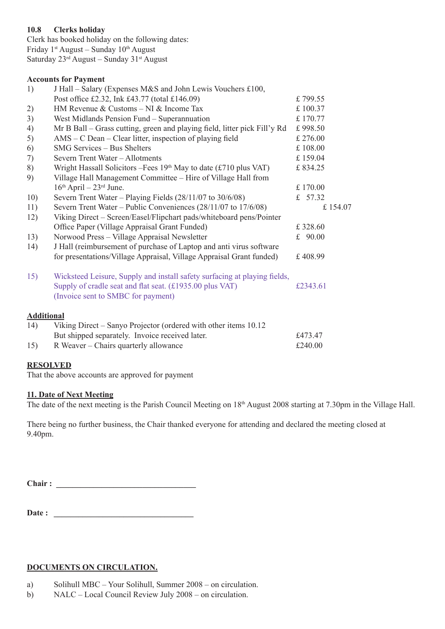## **10.8 Clerks holiday**

Clerk has booked holiday on the following dates: Friday  $1<sup>st</sup>$  August – Sunday  $10<sup>th</sup>$  August Saturday 23rd August – Sunday 31st August

#### **Accounts for Payment**

| 1)                | J Hall – Salary (Expenses M&S and John Lewis Vouchers £100,                                                                                                                 |           |
|-------------------|-----------------------------------------------------------------------------------------------------------------------------------------------------------------------------|-----------|
|                   | Post office £2.32, Ink £43.77 (total £146.09)                                                                                                                               | £799.55   |
| 2)                | HM Revenue & Customs $-$ NI & Income Tax                                                                                                                                    | £100.37   |
| 3)                | West Midlands Pension Fund – Superannuation                                                                                                                                 | £170.77   |
| 4)                | Mr B Ball – Grass cutting, green and playing field, litter pick Fill'y Rd                                                                                                   | £998.50   |
| 5)                | AMS – C Dean – Clear litter, inspection of playing field                                                                                                                    | £ 276.00  |
| 6)                | <b>SMG Services - Bus Shelters</b>                                                                                                                                          | £108.00   |
| 7)                | Severn Trent Water - Allotments                                                                                                                                             | £159.04   |
| 8)                | Wright Hassall Solicitors – Fees $19th$ May to date (£710 plus VAT)                                                                                                         | £834.25   |
| 9)                | Village Hall Management Committee - Hire of Village Hall from                                                                                                               |           |
|                   | $16th$ April – $23rd$ June.                                                                                                                                                 | £170.00   |
| 10)               | Severn Trent Water – Playing Fields $(28/11/07$ to $30/6/08)$                                                                                                               | £ 57.32   |
| 11)               | Severn Trent Water – Public Conveniences (28/11/07 to 17/6/08)                                                                                                              | £154.07   |
| 12)               | Viking Direct - Screen/Easel/Flipchart pads/whiteboard pens/Pointer                                                                                                         |           |
|                   | Office Paper (Village Appraisal Grant Funded)                                                                                                                               | £328.60   |
| 13)               | Norwood Press - Village Appraisal Newsletter                                                                                                                                | £ $90.00$ |
| 14)               | J Hall (reimbursement of purchase of Laptop and anti virus software                                                                                                         |           |
|                   | for presentations/Village Appraisal, Village Appraisal Grant funded)                                                                                                        | £408.99   |
| 15)               | Wicksteed Leisure, Supply and install safety surfacing at playing fields,<br>Supply of cradle seat and flat seat. (£1935.00 plus VAT)<br>(Invoice sent to SMBC for payment) | £2343.61  |
| <b>Additional</b> |                                                                                                                                                                             |           |
| 14)               | Viking Direct – Sanyo Projector (ordered with other items 10.12)                                                                                                            |           |
|                   | But shipped separately. Invoice received later.                                                                                                                             | £473.47   |
| 15)               | R Weaver - Chairs quarterly allowance                                                                                                                                       | £240.00   |
|                   |                                                                                                                                                                             |           |

### **RESOLVED**

That the above accounts are approved for payment

### **11. Date of Next Meeting**

The date of the next meeting is the Parish Council Meeting on 18<sup>th</sup> August 2008 starting at 7.30pm in the Village Hall.

There being no further business, the Chair thanked everyone for attending and declared the meeting closed at 9.40pm.

Chair :

**Date : \_\_\_\_\_\_\_\_\_\_\_\_\_\_\_\_\_\_\_\_\_\_\_\_\_\_\_\_\_\_\_\_\_\_**

### **DOCUMENTS ON CIRCULATION.**

- a) Solihull MBC Your Solihull, Summer 2008 on circulation.
- b) NALC Local Council Review July 2008 on circulation.